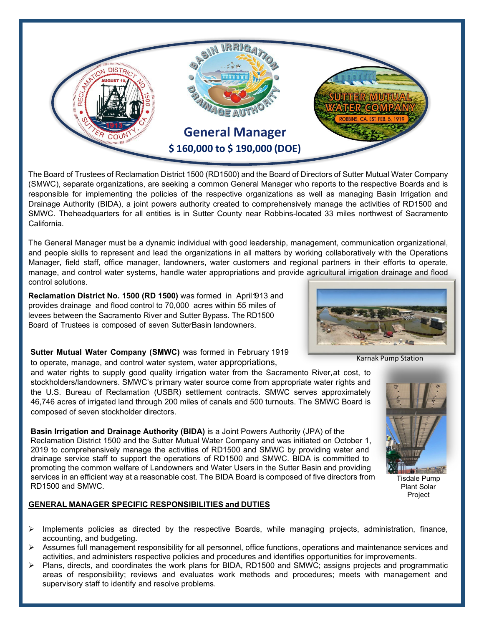

The Board of Trustees of Reclamation District 1500 (RD1500) and the Board of Directors of Sutter Mutual Water Company (SMWC), separate organizations, are seeking a common General Manager who reports to the respective Boards and is responsible for implementing the policies of the respective organizations as well as managing Basin Irrigation and Drainage Authority (BIDA), a joint powers authority created to comprehensively manage the activities of RD1500 and SMWC. Theheadquarters for all entities is in Sutter County near Robbins-located 33 miles northwest of Sacramento California.

The General Manager must be a dynamic individual with good leadership, management, communication organizational, and people skills to represent and lead the organizations in all matters by working collaboratively with the Operations Manager, field staff, office manager, landowners, water customers and regional partners in their efforts to operate, manage, and control water systems, handle water appropriations and provide agricultural irrigation drainage and flood control solutions.

**Reclamation District No. 1500 (RD 1500)** was formed in April 1913 and provides drainage and flood control to 70,000 acres within 55 miles of levees between the Sacramento River and Sutter Bypass. The RD1500 Board of Trustees is composed of seven SutterBasin landowners.

**Sutter Mutual Water Company (SMWC)** was formed in February 1919 to operate, manage, and control water system, water appropriations, Karnak Pump Station

and water rights to supply good quality irrigation water from the Sacramento River,at cost, to stockholders/landowners. SMWC's primary water source come from appropriate water rights and the U.S. Bureau of Reclamation (USBR) settlement contracts. SMWC serves approximately 46,746 acres of irrigated land through 200 miles of canals and 500 turnouts. The SMWC Board is composed of seven stockholder directors.

**Basin Irrigation and Drainage Authority (BIDA)** is a Joint Powers Authority (JPA) of the Reclamation District 1500 and the Sutter Mutual Water Company and was initiated on October 1, 2019 to comprehensively manage the activities of RD1500 and SMWC by providing water and drainage service staff to support the operations of RD1500 and SMWC. BIDA is committed to promoting the common welfare of Landowners and Water Users in the Sutter Basin and providing services in an efficient way at a reasonable cost. The BIDA Board is composed of five directors from RD1500 and SMWC.

## **GENERAL MANAGER SPECIFIC RESPONSIBILITIES and DUTIES**

- $\triangleright$  Implements policies as directed by the respective Boards, while managing projects, administration, finance, accounting, and budgeting.
- $\triangleright$  Assumes full management responsibility for all personnel, office functions, operations and maintenance services and activities, and administers respective policies and procedures and identifies opportunities for improvements.
- $\triangleright$  Plans, directs, and coordinates the work plans for BIDA, RD1500 and SMWC; assigns projects and programmatic areas of responsibility; reviews and evaluates work methods and procedures; meets with management and supervisory staff to identify and resolve problems.





Plant Solar Project